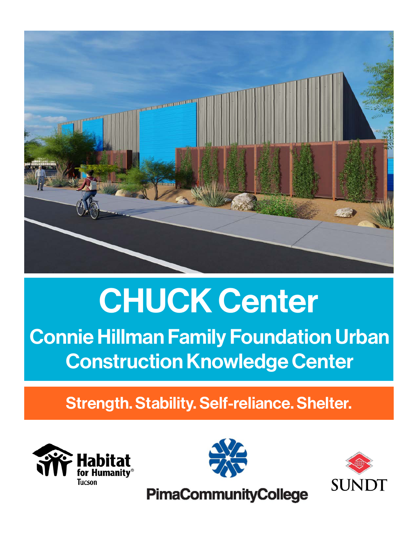

# CHUCK Center

Connie Hillman Family Foundation Urban Construction Knowledge Center

Strength. Stability. Self-reliance. Shelter.





**SUNDT** 

**PimaCommunityCollege**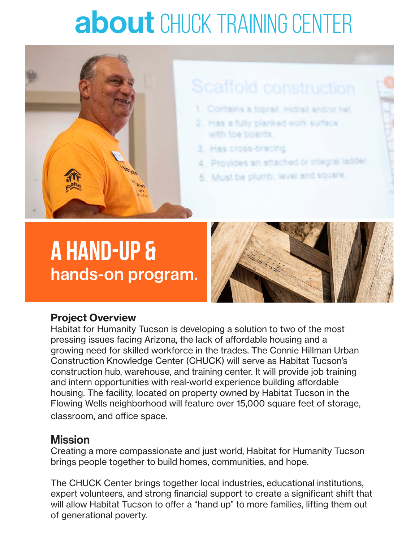## about CHUCK TRAINING CENTER



## **A hand-up &**  hands-on program.



### Project Overview

Habitat for Humanity Tucson is developing a solution to two of the most pressing issues facing Arizona, the lack of affordable housing and a growing need for skilled workforce in the trades. The Connie Hillman Urban Construction Knowledge Center (CHUCK) will serve as Habitat Tucson's construction hub, warehouse, and training center. It will provide job training and intern opportunities with real-world experience building affordable housing. The facility, located on property owned by Habitat Tucson in the Flowing Wells neighborhood will feature over 15,000 square feet of storage, classroom, and office space.

### **Mission**

Creating a more compassionate and just world, Habitat for Humanity Tucson brings people together to build homes, communities, and hope.

The CHUCK Center brings together local industries, educational institutions, expert volunteers, and strong financial support to create a significant shift that will allow Habitat Tucson to offer a "hand up" to more families, lifting them out of generational poverty.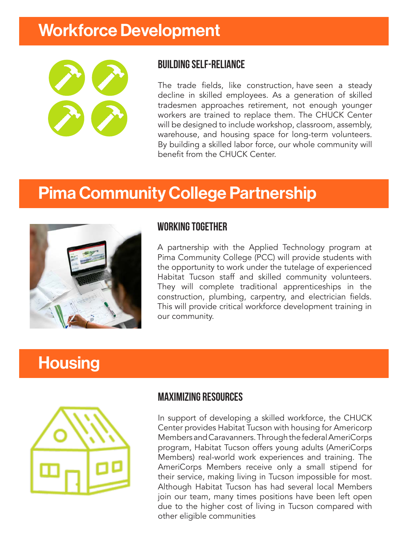## Workforce Development



### building self-reliance

The trade fields, like construction, have seen a steady decline in skilled employees. As a generation of skilled tradesmen approaches retirement, not enough younger workers are trained to replace them. The CHUCK Center will be designed to include workshop, classroom, assembly, warehouse, and housing space for long-term volunteers. By building a skilled labor force, our whole community will benefit from the CHUCK Center.

## Pima Community College Partnership



### working together

A partnership with the Applied Technology program at Pima Community College (PCC) will provide students with the opportunity to work under the tutelage of experienced Habitat Tucson staff and skilled community volunteers. They will complete traditional apprenticeships in the construction, plumbing, carpentry, and electrician fields. This will provide critical workforce development training in our community.

### **Housing**



### Maximizing resources

In support of developing a skilled workforce, the CHUCK Center provides Habitat Tucson with housing for Americorp Members and Caravanners. Through the federal AmeriCorps program, Habitat Tucson offers young adults (AmeriCorps Members) real-world work experiences and training. The AmeriCorps Members receive only a small stipend for their service, making living in Tucson impossible for most. Although Habitat Tucson has had several local Members join our team, many times positions have been left open due to the higher cost of living in Tucson compared with other eligible communities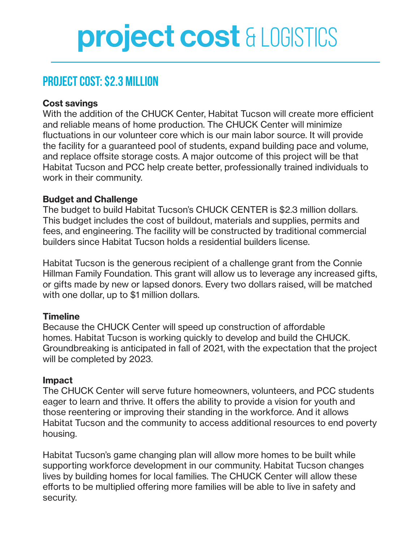## project cost & LOGISTICS

### **project cost: \$2.3 million**

### Cost savings

With the addition of the CHUCK Center, Habitat Tucson will create more efficient and reliable means of home production. The CHUCK Center will minimize fluctuations in our volunteer core which is our main labor source. It will provide the facility for a guaranteed pool of students, expand building pace and volume, and replace offsite storage costs. A major outcome of this project will be that Habitat Tucson and PCC help create better, professionally trained individuals to work in their community.

### Budget and Challenge

The budget to build Habitat Tucson's CHUCK CENTER is \$2.3 million dollars. This budget includes the cost of buildout, materials and supplies, permits and fees, and engineering. The facility will be constructed by traditional commercial builders since Habitat Tucson holds a residential builders license.

Habitat Tucson is the generous recipient of a challenge grant from the Connie Hillman Family Foundation. This grant will allow us to leverage any increased gifts, or gifts made by new or lapsed donors. Every two dollars raised, will be matched with one dollar, up to \$1 million dollars.

#### **Timeline**

Because the CHUCK Center will speed up construction of affordable homes. Habitat Tucson is working quickly to develop and build the CHUCK. Groundbreaking is anticipated in fall of 2021, with the expectation that the project will be completed by 2023.

#### Impact

The CHUCK Center will serve future homeowners, volunteers, and PCC students eager to learn and thrive. It offers the ability to provide a vision for youth and those reentering or improving their standing in the workforce. And it allows Habitat Tucson and the community to access additional resources to end poverty housing.

Habitat Tucson's game changing plan will allow more homes to be built while supporting workforce development in our community. Habitat Tucson changes lives by building homes for local families. The CHUCK Center will allow these efforts to be multiplied offering more families will be able to live in safety and security.